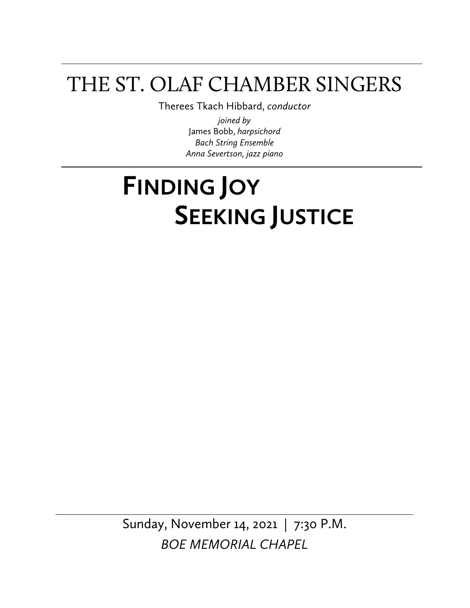# THE ST. OLAF CHAMBER SINGERS

Therees Tkach Hibbard, *conductor*

*joined by* James Bobb, *harpsichord Bach String Ensemble Anna Severtson, jazz piano*

# **FINDING JOY SEEKING JUSTICE**

Sunday, November 14, 2021 | 7:30 P.M. *BOE MEMORIAL CHAPEL*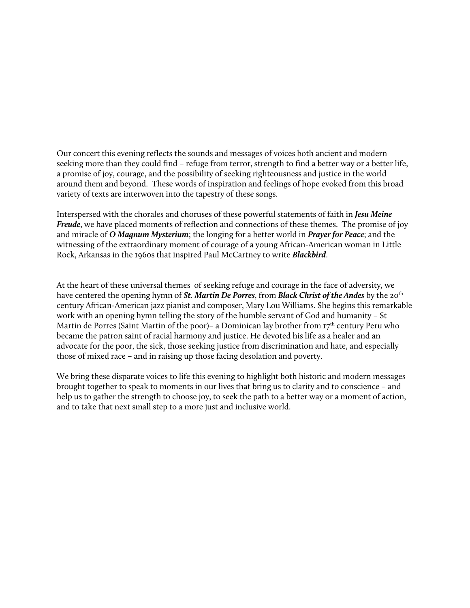Our concert this evening reflects the sounds and messages of voices both ancient and modern seeking more than they could find – refuge from terror, strength to find a better way or a better life, a promise of joy, courage, and the possibility of seeking righteousness and justice in the world around them and beyond. These words of inspiration and feelings of hope evoked from this broad variety of texts are interwoven into the tapestry of these songs.

Interspersed with the chorales and choruses of these powerful statements of faith in *Jesu Meine Freude*, we have placed moments of reflection and connections of these themes. The promise of joy and miracle of *O Magnum Mysterium*; the longing for a better world in *Prayer for Peace*; and the witnessing of the extraordinary moment of courage of a young African-American woman in Little Rock, Arkansas in the 1960s that inspired Paul McCartney to write *Blackbird*.

At the heart of these universal themes of seeking refuge and courage in the face of adversity*,* we have centered the opening hymn of *St. Martin De Porres*, from *Black Christ of the Andes* by the 20th century African-American jazz pianist and composer, Mary Lou Williams. She begins this remarkable work with an opening hymn telling the story of the humble servant of God and humanity – St Martin de Porres (Saint Martin of the poor)– a Dominican lay brother from  $I_7$ <sup>th</sup> century Peru who became the patron saint of racial harmony and justice. He devoted his life as a healer and an advocate for the poor, the sick, those seeking justice from discrimination and hate, and especially those of mixed race – and in raising up those facing desolation and poverty.

We bring these disparate voices to life this evening to highlight both historic and modern messages brought together to speak to moments in our lives that bring us to clarity and to conscience – and help us to gather the strength to choose joy, to seek the path to a better way or a moment of action, and to take that next small step to a more just and inclusive world.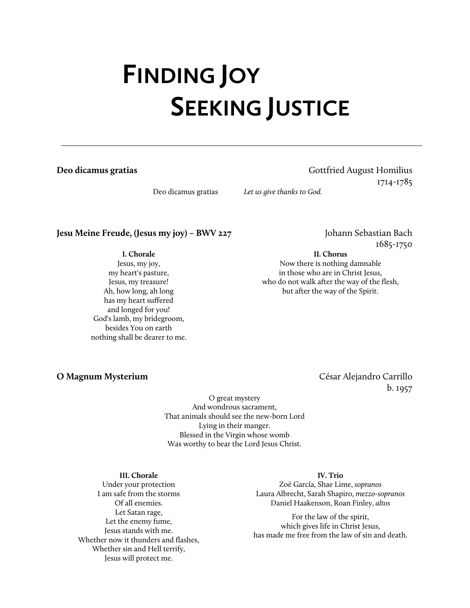# **FINDING JOY SEEKING JUSTICE**

**Deo dicamus gratias** Gottfried August Homilius 1714-1785

Deo dicamus gratias *Let us give thanks to God.*

**Jesu Meine Freude, (Jesus my joy) – BWV 227** Johann Sebastian Bach

#### **I. Chorale**

Jesus, my joy, my heart's pasture, Jesus, my treasure! Ah, how long, ah long has my heart suffered and longed for you! God's lamb, my bridegroom, besides You on earth nothing shall be dearer to me. 1685-1750

**II. Chorus**

Now there is nothing damnable in those who are in Christ Jesus, who do not walk after the way of the flesh, but after the way of the Spirit.

#### **O Magnum Mysterium César Alejandro Carrillo**

b. 1957

O great mystery And wondrous sacrament, That animals should see the new-born Lord Lying in their manger. Blessed in the Virgin whose womb Was worthy to bear the Lord Jesus Christ.

**III. Chorale**

Under your protection I am safe from the storms Of all enemies. Let Satan rage, Let the enemy fume, Jesus stands with me. Whether now it thunders and flashes, Whether sin and Hell terrify, Jesus will protect me.

#### **IV. Trio**

Zoë García, Shae Lime, *sopranos* Laura Albrecht, Sarah Shapiro, *mezzo*-*sopranos* Daniel Haakenson, Roan Finley, *altos*

For the law of the spirit, which gives life in Christ Jesus, has made me free from the law of sin and death.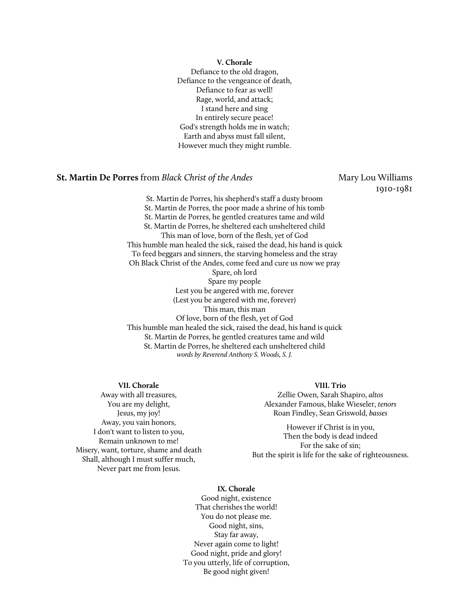#### **V. Chorale**

Defiance to the old dragon, Defiance to the vengeance of death, Defiance to fear as well! Rage, world, and attack; I stand here and sing In entirely secure peace! God's strength holds me in watch; Earth and abyss must fall silent, However much they might rumble.

#### **St. Martin De Porres** from *Black Christ of the Andes* Mary Lou Williams

1910-1981

St. Martin de Porres, his shepherd's staff a dusty broom St. Martin de Porres, the poor made a shrine of his tomb St. Martin de Porres, he gentled creatures tame and wild St. Martin de Porres, he sheltered each unsheltered child This man of love, born of the flesh, yet of God This humble man healed the sick, raised the dead, his hand is quick To feed beggars and sinners, the starving homeless and the stray Oh Black Christ of the Andes, come feed and cure us now we pray Spare, oh lord Spare my people Lest you be angered with me, forever (Lest you be angered with me, forever) This man, this man Of love, born of the flesh, yet of God This humble man healed the sick, raised the dead, his hand is quick St. Martin de Porres, he gentled creatures tame and wild St. Martin de Porres, he sheltered each unsheltered child *words by Reverend Anthony S. Woods, S. J.*

#### **VII. Chorale**

Away with all treasures, You are my delight, Jesus, my joy! Away, you vain honors, I don't want to listen to you, Remain unknown to me! Misery, want, torture, shame and death Shall, although I must suffer much, Never part me from Jesus.

#### **VIII. Trio**

Zellie Owen, Sarah Shapiro, *altos* Alexander Famous, blake Wieseler, *tenors* Roan Findley, Sean Griswold, *basses*

However if Christ is in you, Then the body is dead indeed For the sake of sin; But the spirit is life for the sake of righteousness.

#### **IX. Chorale**

Good night, existence That cherishes the world! You do not please me. Good night, sins, Stay far away, Never again come to light! Good night, pride and glory! To you utterly, life of corruption, Be good night given!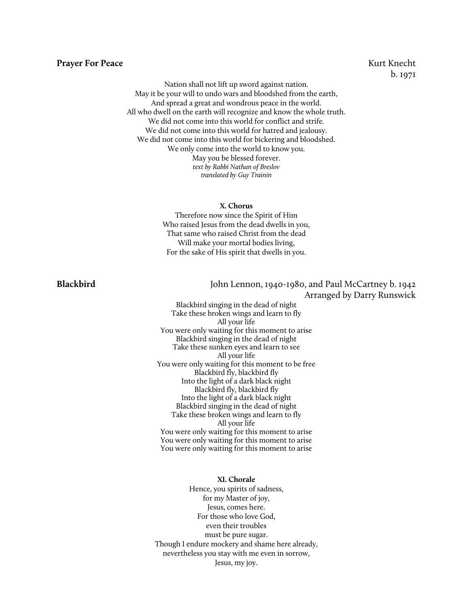#### Prayer For Peace Kurt Knecht

b. 1971

Nation shall not lift up sword against nation. May it be your will to undo wars and bloodshed from the earth, And spread a great and wondrous peace in the world. All who dwell on the earth will recognize and know the whole truth. We did not come into this world for conflict and strife. We did not come into this world for hatred and jealousy. We did not come into this world for bickering and bloodshed. We only come into the world to know you. May you be blessed forever. *text by Rabbi Nathan of Breslov translated by Guy Trainin*

#### **X. Chorus**

Therefore now since the Spirit of Him Who raised Jesus from the dead dwells in you, That same who raised Christ from the dead Will make your mortal bodies living, For the sake of His spirit that dwells in you.

**Blackbird** John Lennon, 1940-1980, and Paul McCartney b. 1942 Arranged by Darry Runswick

> Blackbird singing in the dead of night Take these broken wings and learn to fly All your life You were only waiting for this moment to arise Blackbird singing in the dead of night Take these sunken eyes and learn to see All your life You were only waiting for this moment to be free Blackbird fly, blackbird fly Into the light of a dark black night Blackbird fly, blackbird fly Into the light of a dark black night Blackbird singing in the dead of night Take these broken wings and learn to fly All your life You were only waiting for this moment to arise You were only waiting for this moment to arise You were only waiting for this moment to arise

**XI. Chorale** Hence, you spirits of sadness, for my Master of joy, Jesus, comes here. For those who love God, even their troubles must be pure sugar. Though I endure mockery and shame here already, nevertheless you stay with me even in sorrow, Jesus, my joy.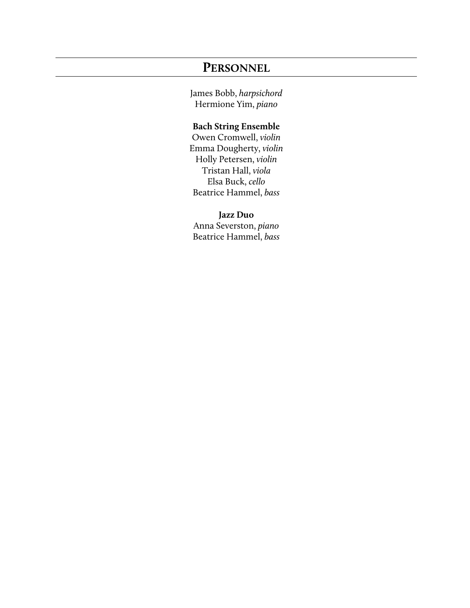### **PERSONNEL**

James Bobb, *harpsichord* Hermione Yim, *piano*

### **Bach String Ensemble**

Owen Cromwell, *violin* Emma Dougherty, *violin* Holly Petersen, *violin* Tristan Hall, *viola* Elsa Buck, *cello* Beatrice Hammel, *bass*

### **Jazz Duo**

Anna Severston, *piano* Beatrice Hammel, *bass*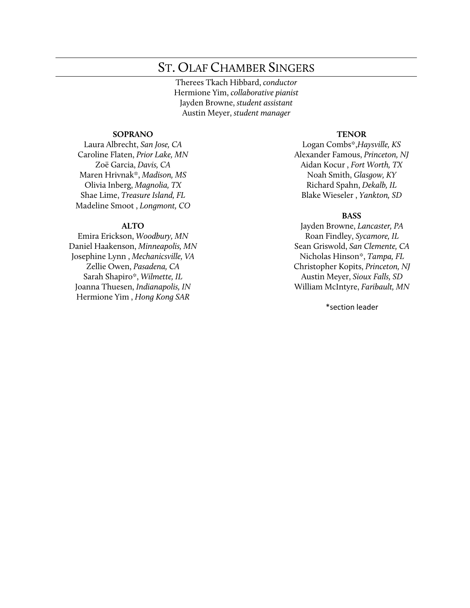## ST. OLAF CHAMBER SINGERS

Therees Tkach Hibbard, *conductor* Hermione Yim, *collaborative pianist*  Jayden Browne, *student assistant*  Austin Meyer, *student manager*

#### **SOPRANO**

Laura Albrecht, *San Jose, CA* Caroline Flaten, *Prior Lake, MN* Zoë Garcia, *Davis, CA* Maren Hrivnak\*, *Madison, MS* Olivia Inberg, *Magnolia, TX* Shae Lime, *Treasure Island, FL* Madeline Smoot , *Longmont, CO*

### **ALTO**

Emira Erickson, *Woodbury, MN* Daniel Haakenson, *Minneapolis, MN* Josephine Lynn , *Mechanicsville, VA* Zellie Owen, *Pasadena, CA* Sarah Shapiro\*, *Wilmette, IL* Joanna Thuesen, *Indianapolis, IN* Hermione Yim , *Hong Kong SAR*

#### **TENOR**

Logan Combs\*,*Haysville, KS* Alexander Famous, *Princeton, NJ* Aidan Kocur , *Fort Worth, TX* Noah Smith, *Glasgow, KY* Richard Spahn, *Dekalb, IL* Blake Wieseler , *Yankton, SD*

#### **BASS**

Jayden Browne, *Lancaster, PA* Roan Findley, *Sycamore, IL* Sean Griswold, *San Clemente, CA* Nicholas Hinson\*, *Tampa, FL* Christopher Kopits, *Princeton, NJ* Austin Meyer, *Sioux Falls, SD* William McIntyre, *Faribault, MN*

\*section leader